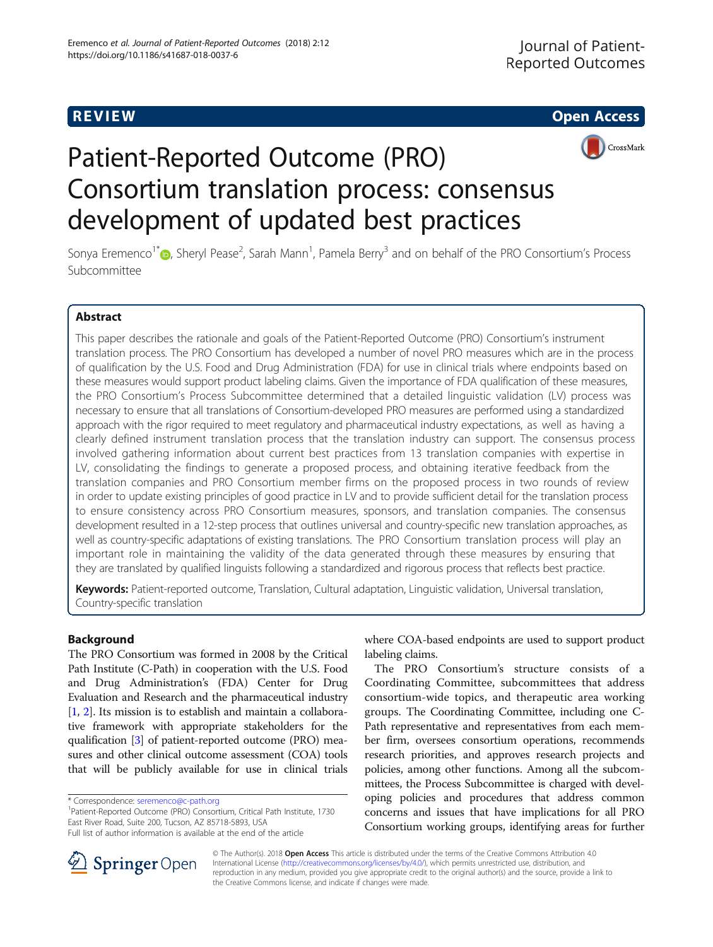**REVIEW CONSTRUCTION CONSTRUCTION CONSTRUCTS** 



# Patient-Reported Outcome (PRO) Consortium translation process: consensus development of updated best practices

Sonya Eremenco<sup>1\*</sup> D[,](http://orcid.org/0000-0003-3956-0235) Sheryl Pease<sup>2</sup>, Sarah Mann<sup>1</sup>, Pamela Berry<sup>3</sup> and on behalf of the PRO Consortium's Process Subcommittee

# Abstract

This paper describes the rationale and goals of the Patient-Reported Outcome (PRO) Consortium's instrument translation process. The PRO Consortium has developed a number of novel PRO measures which are in the process of qualification by the U.S. Food and Drug Administration (FDA) for use in clinical trials where endpoints based on these measures would support product labeling claims. Given the importance of FDA qualification of these measures, the PRO Consortium's Process Subcommittee determined that a detailed linguistic validation (LV) process was necessary to ensure that all translations of Consortium-developed PRO measures are performed using a standardized approach with the rigor required to meet regulatory and pharmaceutical industry expectations, as well as having a clearly defined instrument translation process that the translation industry can support. The consensus process involved gathering information about current best practices from 13 translation companies with expertise in LV, consolidating the findings to generate a proposed process, and obtaining iterative feedback from the translation companies and PRO Consortium member firms on the proposed process in two rounds of review in order to update existing principles of good practice in LV and to provide sufficient detail for the translation process to ensure consistency across PRO Consortium measures, sponsors, and translation companies. The consensus development resulted in a 12-step process that outlines universal and country-specific new translation approaches, as well as country-specific adaptations of existing translations. The PRO Consortium translation process will play an important role in maintaining the validity of the data generated through these measures by ensuring that they are translated by qualified linguists following a standardized and rigorous process that reflects best practice.

Keywords: Patient-reported outcome, Translation, Cultural adaptation, Linguistic validation, Universal translation, Country-specific translation

# Background

The PRO Consortium was formed in 2008 by the Critical Path Institute (C-Path) in cooperation with the U.S. Food and Drug Administration's (FDA) Center for Drug Evaluation and Research and the pharmaceutical industry [[1,](#page-9-0) [2](#page-9-0)]. Its mission is to establish and maintain a collaborative framework with appropriate stakeholders for the qualification [\[3](#page-9-0)] of patient-reported outcome (PRO) measures and other clinical outcome assessment (COA) tools that will be publicly available for use in clinical trials

\* Correspondence: [seremenco@c-path.org](mailto:seremenco@c-path.org) <sup>1</sup>

Patient-Reported Outcome (PRO) Consortium, Critical Path Institute, 1730 East River Road, Suite 200, Tucson, AZ 85718-5893, USA

where COA-based endpoints are used to support product labeling claims.

The PRO Consortium's structure consists of a Coordinating Committee, subcommittees that address consortium-wide topics, and therapeutic area working groups. The Coordinating Committee, including one C-Path representative and representatives from each member firm, oversees consortium operations, recommends research priorities, and approves research projects and policies, among other functions. Among all the subcommittees, the Process Subcommittee is charged with developing policies and procedures that address common concerns and issues that have implications for all PRO Consortium working groups, identifying areas for further



© The Author(s). 2018 Open Access This article is distributed under the terms of the Creative Commons Attribution 4.0 International License ([http://creativecommons.org/licenses/by/4.0/\)](http://creativecommons.org/licenses/by/4.0/), which permits unrestricted use, distribution, and reproduction in any medium, provided you give appropriate credit to the original author(s) and the source, provide a link to the Creative Commons license, and indicate if changes were made.

Full list of author information is available at the end of the article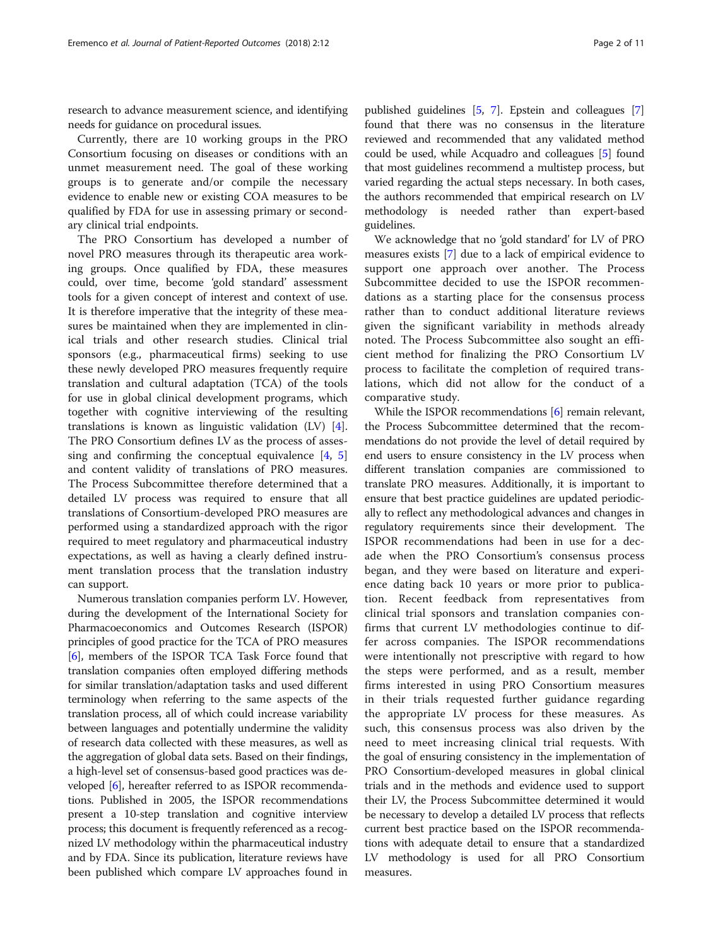research to advance measurement science, and identifying needs for guidance on procedural issues.

Currently, there are 10 working groups in the PRO Consortium focusing on diseases or conditions with an unmet measurement need. The goal of these working groups is to generate and/or compile the necessary evidence to enable new or existing COA measures to be qualified by FDA for use in assessing primary or secondary clinical trial endpoints.

The PRO Consortium has developed a number of novel PRO measures through its therapeutic area working groups. Once qualified by FDA, these measures could, over time, become 'gold standard' assessment tools for a given concept of interest and context of use. It is therefore imperative that the integrity of these measures be maintained when they are implemented in clinical trials and other research studies. Clinical trial sponsors (e.g., pharmaceutical firms) seeking to use these newly developed PRO measures frequently require translation and cultural adaptation (TCA) of the tools for use in global clinical development programs, which together with cognitive interviewing of the resulting translations is known as linguistic validation (LV) [\[4](#page-9-0)]. The PRO Consortium defines LV as the process of assessing and confirming the conceptual equivalence [[4](#page-9-0), [5](#page-9-0)] and content validity of translations of PRO measures. The Process Subcommittee therefore determined that a detailed LV process was required to ensure that all translations of Consortium-developed PRO measures are performed using a standardized approach with the rigor required to meet regulatory and pharmaceutical industry expectations, as well as having a clearly defined instrument translation process that the translation industry can support.

Numerous translation companies perform LV. However, during the development of the International Society for Pharmacoeconomics and Outcomes Research (ISPOR) principles of good practice for the TCA of PRO measures [[6\]](#page-9-0), members of the ISPOR TCA Task Force found that translation companies often employed differing methods for similar translation/adaptation tasks and used different terminology when referring to the same aspects of the translation process, all of which could increase variability between languages and potentially undermine the validity of research data collected with these measures, as well as the aggregation of global data sets. Based on their findings, a high-level set of consensus-based good practices was developed [[6\]](#page-9-0), hereafter referred to as ISPOR recommendations. Published in 2005, the ISPOR recommendations present a 10-step translation and cognitive interview process; this document is frequently referenced as a recognized LV methodology within the pharmaceutical industry and by FDA. Since its publication, literature reviews have been published which compare LV approaches found in

published guidelines [[5,](#page-9-0) [7\]](#page-9-0). Epstein and colleagues [[7](#page-9-0)] found that there was no consensus in the literature reviewed and recommended that any validated method could be used, while Acquadro and colleagues [\[5](#page-9-0)] found that most guidelines recommend a multistep process, but varied regarding the actual steps necessary. In both cases, the authors recommended that empirical research on LV methodology is needed rather than expert-based guidelines.

We acknowledge that no 'gold standard' for LV of PRO measures exists [[7\]](#page-9-0) due to a lack of empirical evidence to support one approach over another. The Process Subcommittee decided to use the ISPOR recommendations as a starting place for the consensus process rather than to conduct additional literature reviews given the significant variability in methods already noted. The Process Subcommittee also sought an efficient method for finalizing the PRO Consortium LV process to facilitate the completion of required translations, which did not allow for the conduct of a comparative study.

While the ISPOR recommendations [[6\]](#page-9-0) remain relevant, the Process Subcommittee determined that the recommendations do not provide the level of detail required by end users to ensure consistency in the LV process when different translation companies are commissioned to translate PRO measures. Additionally, it is important to ensure that best practice guidelines are updated periodically to reflect any methodological advances and changes in regulatory requirements since their development. The ISPOR recommendations had been in use for a decade when the PRO Consortium's consensus process began, and they were based on literature and experience dating back 10 years or more prior to publication. Recent feedback from representatives from clinical trial sponsors and translation companies confirms that current LV methodologies continue to differ across companies. The ISPOR recommendations were intentionally not prescriptive with regard to how the steps were performed, and as a result, member firms interested in using PRO Consortium measures in their trials requested further guidance regarding the appropriate LV process for these measures. As such, this consensus process was also driven by the need to meet increasing clinical trial requests. With the goal of ensuring consistency in the implementation of PRO Consortium-developed measures in global clinical trials and in the methods and evidence used to support their LV, the Process Subcommittee determined it would be necessary to develop a detailed LV process that reflects current best practice based on the ISPOR recommendations with adequate detail to ensure that a standardized LV methodology is used for all PRO Consortium measures.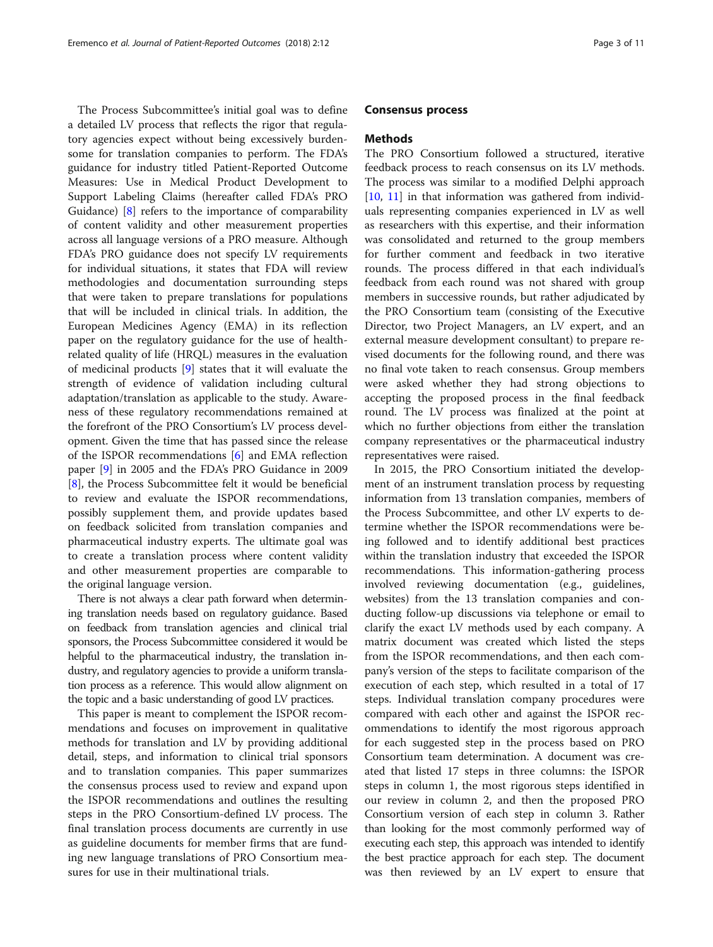The Process Subcommittee's initial goal was to define a detailed LV process that reflects the rigor that regulatory agencies expect without being excessively burdensome for translation companies to perform. The FDA's guidance for industry titled Patient-Reported Outcome Measures: Use in Medical Product Development to Support Labeling Claims (hereafter called FDA's PRO Guidance) [[8\]](#page-9-0) refers to the importance of comparability of content validity and other measurement properties across all language versions of a PRO measure. Although FDA's PRO guidance does not specify LV requirements for individual situations, it states that FDA will review methodologies and documentation surrounding steps that were taken to prepare translations for populations that will be included in clinical trials. In addition, the European Medicines Agency (EMA) in its reflection paper on the regulatory guidance for the use of healthrelated quality of life (HRQL) measures in the evaluation of medicinal products [[9\]](#page-9-0) states that it will evaluate the strength of evidence of validation including cultural adaptation/translation as applicable to the study. Awareness of these regulatory recommendations remained at the forefront of the PRO Consortium's LV process development. Given the time that has passed since the release of the ISPOR recommendations [\[6\]](#page-9-0) and EMA reflection paper [\[9](#page-9-0)] in 2005 and the FDA's PRO Guidance in 2009 [[8\]](#page-9-0), the Process Subcommittee felt it would be beneficial to review and evaluate the ISPOR recommendations, possibly supplement them, and provide updates based on feedback solicited from translation companies and pharmaceutical industry experts. The ultimate goal was to create a translation process where content validity and other measurement properties are comparable to the original language version.

There is not always a clear path forward when determining translation needs based on regulatory guidance. Based on feedback from translation agencies and clinical trial sponsors, the Process Subcommittee considered it would be helpful to the pharmaceutical industry, the translation industry, and regulatory agencies to provide a uniform translation process as a reference. This would allow alignment on the topic and a basic understanding of good LV practices.

This paper is meant to complement the ISPOR recommendations and focuses on improvement in qualitative methods for translation and LV by providing additional detail, steps, and information to clinical trial sponsors and to translation companies. This paper summarizes the consensus process used to review and expand upon the ISPOR recommendations and outlines the resulting steps in the PRO Consortium-defined LV process. The final translation process documents are currently in use as guideline documents for member firms that are funding new language translations of PRO Consortium measures for use in their multinational trials.

#### Consensus process

# **Methods**

The PRO Consortium followed a structured, iterative feedback process to reach consensus on its LV methods. The process was similar to a modified Delphi approach [[10,](#page-9-0) [11\]](#page-9-0) in that information was gathered from individuals representing companies experienced in LV as well as researchers with this expertise, and their information was consolidated and returned to the group members for further comment and feedback in two iterative rounds. The process differed in that each individual's feedback from each round was not shared with group members in successive rounds, but rather adjudicated by the PRO Consortium team (consisting of the Executive Director, two Project Managers, an LV expert, and an external measure development consultant) to prepare revised documents for the following round, and there was no final vote taken to reach consensus. Group members were asked whether they had strong objections to accepting the proposed process in the final feedback round. The LV process was finalized at the point at which no further objections from either the translation company representatives or the pharmaceutical industry representatives were raised.

In 2015, the PRO Consortium initiated the development of an instrument translation process by requesting information from 13 translation companies, members of the Process Subcommittee, and other LV experts to determine whether the ISPOR recommendations were being followed and to identify additional best practices within the translation industry that exceeded the ISPOR recommendations. This information-gathering process involved reviewing documentation (e.g., guidelines, websites) from the 13 translation companies and conducting follow-up discussions via telephone or email to clarify the exact LV methods used by each company. A matrix document was created which listed the steps from the ISPOR recommendations, and then each company's version of the steps to facilitate comparison of the execution of each step, which resulted in a total of 17 steps. Individual translation company procedures were compared with each other and against the ISPOR recommendations to identify the most rigorous approach for each suggested step in the process based on PRO Consortium team determination. A document was created that listed 17 steps in three columns: the ISPOR steps in column 1, the most rigorous steps identified in our review in column 2, and then the proposed PRO Consortium version of each step in column 3. Rather than looking for the most commonly performed way of executing each step, this approach was intended to identify the best practice approach for each step. The document was then reviewed by an LV expert to ensure that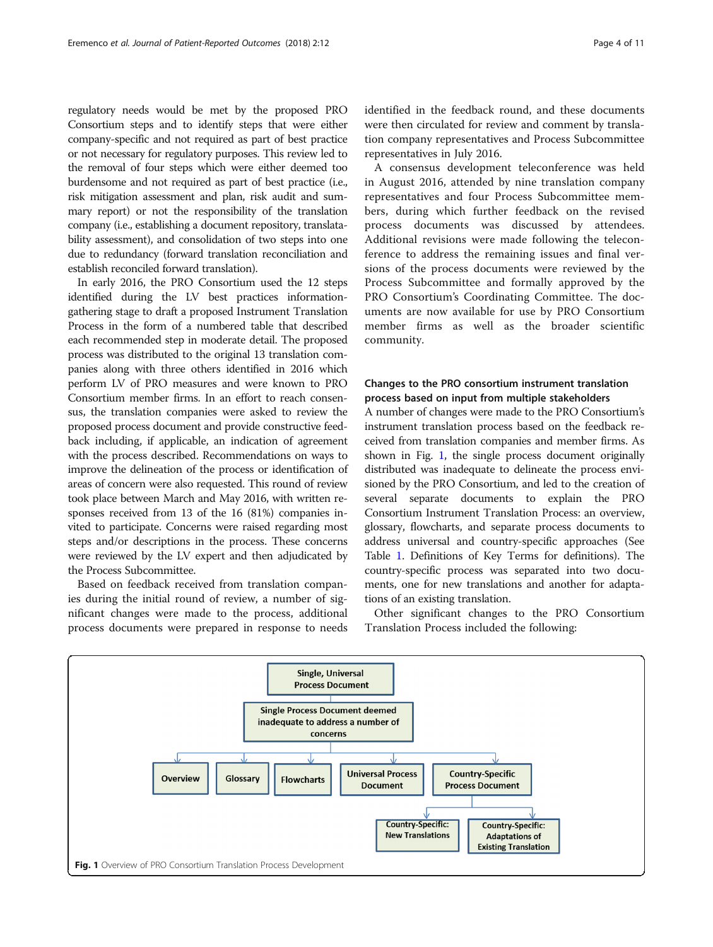regulatory needs would be met by the proposed PRO Consortium steps and to identify steps that were either company-specific and not required as part of best practice or not necessary for regulatory purposes. This review led to the removal of four steps which were either deemed too burdensome and not required as part of best practice (i.e., risk mitigation assessment and plan, risk audit and summary report) or not the responsibility of the translation company (i.e., establishing a document repository, translatability assessment), and consolidation of two steps into one due to redundancy (forward translation reconciliation and establish reconciled forward translation).

In early 2016, the PRO Consortium used the 12 steps identified during the LV best practices informationgathering stage to draft a proposed Instrument Translation Process in the form of a numbered table that described each recommended step in moderate detail. The proposed process was distributed to the original 13 translation companies along with three others identified in 2016 which perform LV of PRO measures and were known to PRO Consortium member firms. In an effort to reach consensus, the translation companies were asked to review the proposed process document and provide constructive feedback including, if applicable, an indication of agreement with the process described. Recommendations on ways to improve the delineation of the process or identification of areas of concern were also requested. This round of review took place between March and May 2016, with written responses received from 13 of the 16 (81%) companies invited to participate. Concerns were raised regarding most steps and/or descriptions in the process. These concerns were reviewed by the LV expert and then adjudicated by the Process Subcommittee.

Based on feedback received from translation companies during the initial round of review, a number of significant changes were made to the process, additional process documents were prepared in response to needs

representatives in July 2016. A consensus development teleconference was held in August 2016, attended by nine translation company representatives and four Process Subcommittee members, during which further feedback on the revised process documents was discussed by attendees. Additional revisions were made following the teleconference to address the remaining issues and final versions of the process documents were reviewed by the Process Subcommittee and formally approved by the PRO Consortium's Coordinating Committee. The documents are now available for use by PRO Consortium member firms as well as the broader scientific community.

# Changes to the PRO consortium instrument translation process based on input from multiple stakeholders

A number of changes were made to the PRO Consortium's instrument translation process based on the feedback received from translation companies and member firms. As shown in Fig. 1, the single process document originally distributed was inadequate to delineate the process envisioned by the PRO Consortium, and led to the creation of several separate documents to explain the PRO Consortium Instrument Translation Process: an overview, glossary, flowcharts, and separate process documents to address universal and country-specific approaches (See Table [1.](#page-4-0) Definitions of Key Terms for definitions). The country-specific process was separated into two documents, one for new translations and another for adaptations of an existing translation.

Other significant changes to the PRO Consortium Translation Process included the following:

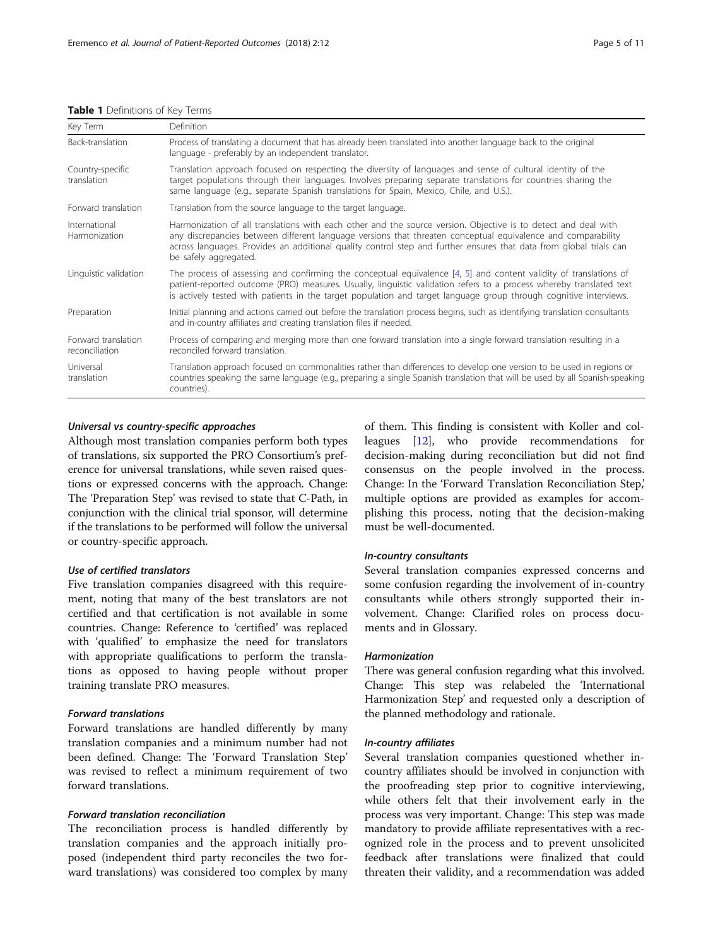<span id="page-4-0"></span>

| Key Term                              | Definition                                                                                                                                                                                                                                                                                                                                                                    |  |  |
|---------------------------------------|-------------------------------------------------------------------------------------------------------------------------------------------------------------------------------------------------------------------------------------------------------------------------------------------------------------------------------------------------------------------------------|--|--|
| Back-translation                      | Process of translating a document that has already been translated into another language back to the original<br>language - preferably by an independent translator.                                                                                                                                                                                                          |  |  |
| Country-specific<br>translation       | Translation approach focused on respecting the diversity of languages and sense of cultural identity of the<br>target populations through their languages. Involves preparing separate translations for countries sharing the<br>same language (e.g., separate Spanish translations for Spain, Mexico, Chile, and U.S.).                                                      |  |  |
| Forward translation                   | Translation from the source language to the target language.                                                                                                                                                                                                                                                                                                                  |  |  |
| International<br>Harmonization        | Harmonization of all translations with each other and the source version. Objective is to detect and deal with<br>any discrepancies between different language versions that threaten conceptual equivalence and comparability<br>across languages. Provides an additional quality control step and further ensures that data from global trials can<br>be safely aggregated. |  |  |
| Linguistic validation                 | The process of assessing and confirming the conceptual equivalence $[4, 5]$ and content validity of translations of<br>patient-reported outcome (PRO) measures. Usually, linguistic validation refers to a process whereby translated text<br>is actively tested with patients in the target population and target language group through cognitive interviews.               |  |  |
| Preparation                           | Initial planning and actions carried out before the translation process begins, such as identifying translation consultants<br>and in-country affiliates and creating translation files if needed.                                                                                                                                                                            |  |  |
| Forward translation<br>reconciliation | Process of comparing and merging more than one forward translation into a single forward translation resulting in a<br>reconciled forward translation.                                                                                                                                                                                                                        |  |  |

Universal translation Translation approach focused on commonalities rather than differences to develop one version to be used in regions or countries speaking the same language (e.g., preparing a single Spanish translation that will be used by all Spanish-speaking countries).

# Universal vs country-specific approaches

Although most translation companies perform both types of translations, six supported the PRO Consortium's preference for universal translations, while seven raised questions or expressed concerns with the approach. Change: The 'Preparation Step' was revised to state that C-Path, in conjunction with the clinical trial sponsor, will determine if the translations to be performed will follow the universal or country-specific approach.

# Use of certified translators

Five translation companies disagreed with this requirement, noting that many of the best translators are not certified and that certification is not available in some countries. Change: Reference to 'certified' was replaced with 'qualified' to emphasize the need for translators with appropriate qualifications to perform the translations as opposed to having people without proper training translate PRO measures.

# Forward translations

Forward translations are handled differently by many translation companies and a minimum number had not been defined. Change: The 'Forward Translation Step' was revised to reflect a minimum requirement of two forward translations.

# Forward translation reconciliation

The reconciliation process is handled differently by translation companies and the approach initially proposed (independent third party reconciles the two forward translations) was considered too complex by many

of them. This finding is consistent with Koller and colleagues [\[12\]](#page-9-0), who provide recommendations for decision-making during reconciliation but did not find consensus on the people involved in the process. Change: In the 'Forward Translation Reconciliation Step,' multiple options are provided as examples for accomplishing this process, noting that the decision-making must be well-documented.

# In-country consultants

Several translation companies expressed concerns and some confusion regarding the involvement of in-country consultants while others strongly supported their involvement. Change: Clarified roles on process documents and in Glossary.

#### Harmonization

There was general confusion regarding what this involved. Change: This step was relabeled the 'International Harmonization Step' and requested only a description of the planned methodology and rationale.

#### In-country affiliates

Several translation companies questioned whether incountry affiliates should be involved in conjunction with the proofreading step prior to cognitive interviewing, while others felt that their involvement early in the process was very important. Change: This step was made mandatory to provide affiliate representatives with a recognized role in the process and to prevent unsolicited feedback after translations were finalized that could threaten their validity, and a recommendation was added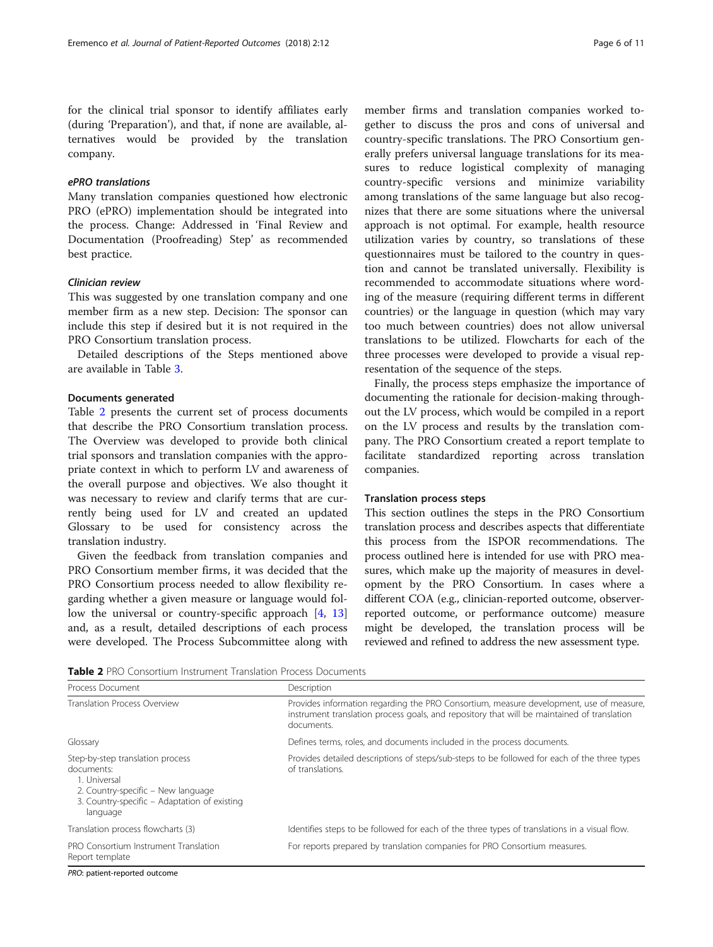for the clinical trial sponsor to identify affiliates early (during 'Preparation'), and that, if none are available, alternatives would be provided by the translation company.

# ePRO translations

Many translation companies questioned how electronic PRO (ePRO) implementation should be integrated into the process. Change: Addressed in 'Final Review and Documentation (Proofreading) Step' as recommended best practice.

#### Clinician review

This was suggested by one translation company and one member firm as a new step. Decision: The sponsor can include this step if desired but it is not required in the PRO Consortium translation process.

Detailed descriptions of the Steps mentioned above are available in Table [3.](#page-7-0)

# Documents generated

Table 2 presents the current set of process documents that describe the PRO Consortium translation process. The Overview was developed to provide both clinical trial sponsors and translation companies with the appropriate context in which to perform LV and awareness of the overall purpose and objectives. We also thought it was necessary to review and clarify terms that are currently being used for LV and created an updated Glossary to be used for consistency across the translation industry.

Given the feedback from translation companies and PRO Consortium member firms, it was decided that the PRO Consortium process needed to allow flexibility regarding whether a given measure or language would follow the universal or country-specific approach [[4](#page-9-0), [13](#page-9-0)] and, as a result, detailed descriptions of each process were developed. The Process Subcommittee along with

member firms and translation companies worked together to discuss the pros and cons of universal and country-specific translations. The PRO Consortium generally prefers universal language translations for its measures to reduce logistical complexity of managing country-specific versions and minimize variability among translations of the same language but also recognizes that there are some situations where the universal approach is not optimal. For example, health resource utilization varies by country, so translations of these questionnaires must be tailored to the country in question and cannot be translated universally. Flexibility is recommended to accommodate situations where wording of the measure (requiring different terms in different countries) or the language in question (which may vary too much between countries) does not allow universal translations to be utilized. Flowcharts for each of the three processes were developed to provide a visual representation of the sequence of the steps.

Finally, the process steps emphasize the importance of documenting the rationale for decision-making throughout the LV process, which would be compiled in a report on the LV process and results by the translation company. The PRO Consortium created a report template to facilitate standardized reporting across translation companies.

#### Translation process steps

This section outlines the steps in the PRO Consortium translation process and describes aspects that differentiate this process from the ISPOR recommendations. The process outlined here is intended for use with PRO measures, which make up the majority of measures in development by the PRO Consortium. In cases where a different COA (e.g., clinician-reported outcome, observerreported outcome, or performance outcome) measure might be developed, the translation process will be reviewed and refined to address the new assessment type.

Table 2 PRO Consortium Instrument Translation Process Documents

| Description                                                                                                                                                                                          |  |  |
|------------------------------------------------------------------------------------------------------------------------------------------------------------------------------------------------------|--|--|
| Provides information regarding the PRO Consortium, measure development, use of measure,<br>instrument translation process goals, and repository that will be maintained of translation<br>documents. |  |  |
| Defines terms, roles, and documents included in the process documents.                                                                                                                               |  |  |
| Provides detailed descriptions of steps/sub-steps to be followed for each of the three types<br>of translations.                                                                                     |  |  |
| Identifies steps to be followed for each of the three types of translations in a visual flow.                                                                                                        |  |  |
| For reports prepared by translation companies for PRO Consortium measures.                                                                                                                           |  |  |
|                                                                                                                                                                                                      |  |  |

PRO: patient-reported outcome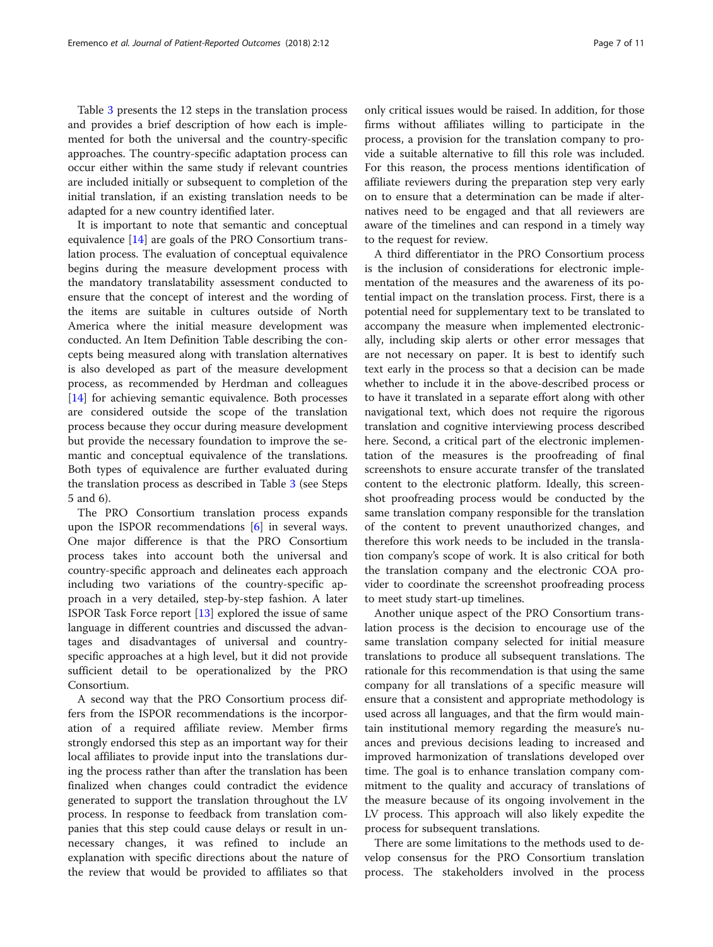Table [3](#page-7-0) presents the 12 steps in the translation process and provides a brief description of how each is implemented for both the universal and the country-specific approaches. The country-specific adaptation process can occur either within the same study if relevant countries are included initially or subsequent to completion of the initial translation, if an existing translation needs to be adapted for a new country identified later.

It is important to note that semantic and conceptual equivalence [\[14](#page-9-0)] are goals of the PRO Consortium translation process. The evaluation of conceptual equivalence begins during the measure development process with the mandatory translatability assessment conducted to ensure that the concept of interest and the wording of the items are suitable in cultures outside of North America where the initial measure development was conducted. An Item Definition Table describing the concepts being measured along with translation alternatives is also developed as part of the measure development process, as recommended by Herdman and colleagues [[14\]](#page-9-0) for achieving semantic equivalence. Both processes are considered outside the scope of the translation process because they occur during measure development but provide the necessary foundation to improve the semantic and conceptual equivalence of the translations. Both types of equivalence are further evaluated during the translation process as described in Table [3](#page-7-0) (see Steps 5 and 6).

The PRO Consortium translation process expands upon the ISPOR recommendations [\[6](#page-9-0)] in several ways. One major difference is that the PRO Consortium process takes into account both the universal and country-specific approach and delineates each approach including two variations of the country-specific approach in a very detailed, step-by-step fashion. A later ISPOR Task Force report [[13\]](#page-9-0) explored the issue of same language in different countries and discussed the advantages and disadvantages of universal and countryspecific approaches at a high level, but it did not provide sufficient detail to be operationalized by the PRO Consortium.

A second way that the PRO Consortium process differs from the ISPOR recommendations is the incorporation of a required affiliate review. Member firms strongly endorsed this step as an important way for their local affiliates to provide input into the translations during the process rather than after the translation has been finalized when changes could contradict the evidence generated to support the translation throughout the LV process. In response to feedback from translation companies that this step could cause delays or result in unnecessary changes, it was refined to include an explanation with specific directions about the nature of the review that would be provided to affiliates so that

only critical issues would be raised. In addition, for those firms without affiliates willing to participate in the process, a provision for the translation company to provide a suitable alternative to fill this role was included. For this reason, the process mentions identification of affiliate reviewers during the preparation step very early on to ensure that a determination can be made if alternatives need to be engaged and that all reviewers are aware of the timelines and can respond in a timely way to the request for review.

A third differentiator in the PRO Consortium process is the inclusion of considerations for electronic implementation of the measures and the awareness of its potential impact on the translation process. First, there is a potential need for supplementary text to be translated to accompany the measure when implemented electronically, including skip alerts or other error messages that are not necessary on paper. It is best to identify such text early in the process so that a decision can be made whether to include it in the above-described process or to have it translated in a separate effort along with other navigational text, which does not require the rigorous translation and cognitive interviewing process described here. Second, a critical part of the electronic implementation of the measures is the proofreading of final screenshots to ensure accurate transfer of the translated content to the electronic platform. Ideally, this screenshot proofreading process would be conducted by the same translation company responsible for the translation of the content to prevent unauthorized changes, and therefore this work needs to be included in the translation company's scope of work. It is also critical for both the translation company and the electronic COA provider to coordinate the screenshot proofreading process to meet study start-up timelines.

Another unique aspect of the PRO Consortium translation process is the decision to encourage use of the same translation company selected for initial measure translations to produce all subsequent translations. The rationale for this recommendation is that using the same company for all translations of a specific measure will ensure that a consistent and appropriate methodology is used across all languages, and that the firm would maintain institutional memory regarding the measure's nuances and previous decisions leading to increased and improved harmonization of translations developed over time. The goal is to enhance translation company commitment to the quality and accuracy of translations of the measure because of its ongoing involvement in the LV process. This approach will also likely expedite the process for subsequent translations.

There are some limitations to the methods used to develop consensus for the PRO Consortium translation process. The stakeholders involved in the process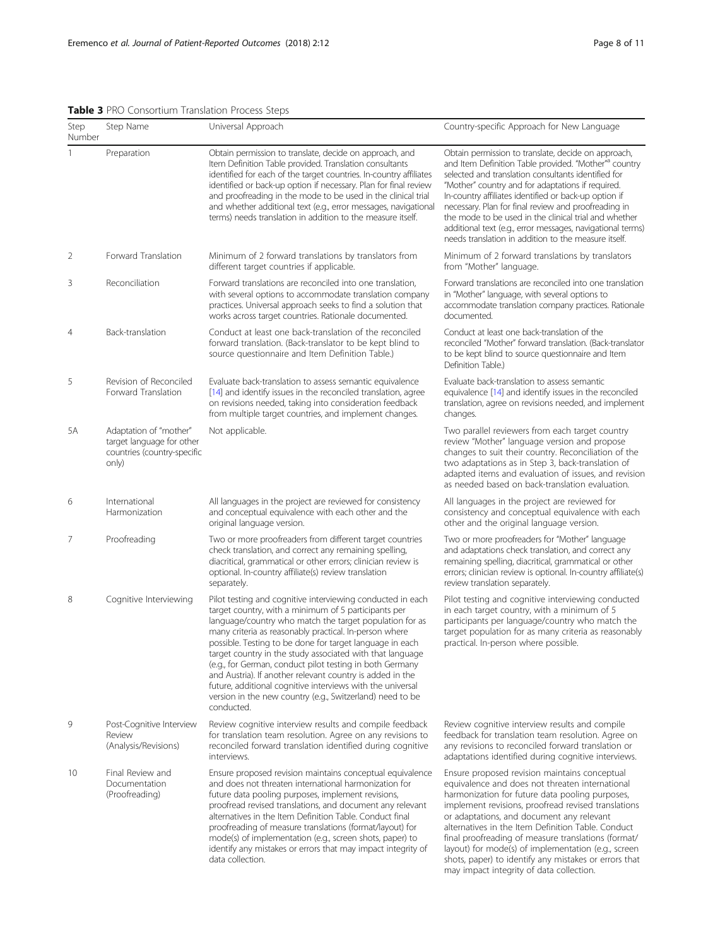<span id="page-7-0"></span>Table 3 PRO Consortium Translation Process Steps

| Step<br>Number | Step Name                                                                                   | Universal Approach                                                                                                                                                                                                                                                                                                                                                                                                                                                                                                                                                                                                                 | Country-specific Approach for New Language                                                                                                                                                                                                                                                                                                                                                                                                                                                                                           |
|----------------|---------------------------------------------------------------------------------------------|------------------------------------------------------------------------------------------------------------------------------------------------------------------------------------------------------------------------------------------------------------------------------------------------------------------------------------------------------------------------------------------------------------------------------------------------------------------------------------------------------------------------------------------------------------------------------------------------------------------------------------|--------------------------------------------------------------------------------------------------------------------------------------------------------------------------------------------------------------------------------------------------------------------------------------------------------------------------------------------------------------------------------------------------------------------------------------------------------------------------------------------------------------------------------------|
| 1              | Preparation                                                                                 | Obtain permission to translate, decide on approach, and<br>Item Definition Table provided. Translation consultants<br>identified for each of the target countries. In-country affiliates<br>identified or back-up option if necessary. Plan for final review<br>and proofreading in the mode to be used in the clinical trial<br>and whether additional text (e.g., error messages, navigational<br>terms) needs translation in addition to the measure itself.                                                                                                                                                                    | Obtain permission to translate, decide on approach,<br>and Item Definition Table provided. "Mother" <sup>a</sup> country<br>selected and translation consultants identified for<br>"Mother" country and for adaptations if required.<br>In-country affiliates identified or back-up option if<br>necessary. Plan for final review and proofreading in<br>the mode to be used in the clinical trial and whether<br>additional text (e.g., error messages, navigational terms)<br>needs translation in addition to the measure itself. |
| 2              | Forward Translation                                                                         | Minimum of 2 forward translations by translators from<br>different target countries if applicable.                                                                                                                                                                                                                                                                                                                                                                                                                                                                                                                                 | Minimum of 2 forward translations by translators<br>from "Mother" language.                                                                                                                                                                                                                                                                                                                                                                                                                                                          |
| 3              | Reconciliation                                                                              | Forward translations are reconciled into one translation,<br>with several options to accommodate translation company<br>practices. Universal approach seeks to find a solution that<br>works across target countries. Rationale documented.                                                                                                                                                                                                                                                                                                                                                                                        | Forward translations are reconciled into one translation<br>in "Mother" language, with several options to<br>accommodate translation company practices. Rationale<br>documented.                                                                                                                                                                                                                                                                                                                                                     |
| 4              | Back-translation                                                                            | Conduct at least one back-translation of the reconciled<br>forward translation. (Back-translator to be kept blind to<br>source questionnaire and Item Definition Table.)                                                                                                                                                                                                                                                                                                                                                                                                                                                           | Conduct at least one back-translation of the<br>reconciled "Mother" forward translation. (Back-translator<br>to be kept blind to source questionnaire and Item<br>Definition Table.)                                                                                                                                                                                                                                                                                                                                                 |
| 5              | Revision of Reconciled<br>Forward Translation                                               | Evaluate back-translation to assess semantic equivalence<br>[14] and identify issues in the reconciled translation, agree<br>on revisions needed, taking into consideration feedback<br>from multiple target countries, and implement changes.                                                                                                                                                                                                                                                                                                                                                                                     | Evaluate back-translation to assess semantic<br>equivalence [14] and identify issues in the reconciled<br>translation, agree on revisions needed, and implement<br>changes.                                                                                                                                                                                                                                                                                                                                                          |
| 5A             | Adaptation of "mother"<br>target language for other<br>countries (country-specific<br>only) | Not applicable.                                                                                                                                                                                                                                                                                                                                                                                                                                                                                                                                                                                                                    | Two parallel reviewers from each target country<br>review "Mother" language version and propose<br>changes to suit their country. Reconciliation of the<br>two adaptations as in Step 3, back-translation of<br>adapted items and evaluation of issues, and revision<br>as needed based on back-translation evaluation.                                                                                                                                                                                                              |
| 6              | International<br>Harmonization                                                              | All languages in the project are reviewed for consistency<br>and conceptual equivalence with each other and the<br>original language version.                                                                                                                                                                                                                                                                                                                                                                                                                                                                                      | All languages in the project are reviewed for<br>consistency and conceptual equivalence with each<br>other and the original language version.                                                                                                                                                                                                                                                                                                                                                                                        |
| 7              | Proofreading                                                                                | Two or more proofreaders from different target countries<br>check translation, and correct any remaining spelling,<br>diacritical, grammatical or other errors; clinician review is<br>optional. In-country affiliate(s) review translation<br>separately.                                                                                                                                                                                                                                                                                                                                                                         | Two or more proofreaders for "Mother" language<br>and adaptations check translation, and correct any<br>remaining spelling, diacritical, grammatical or other<br>errors; clinician review is optional. In-country affiliate(s)<br>review translation separately.                                                                                                                                                                                                                                                                     |
| 8              | Cognitive Interviewing                                                                      | Pilot testing and cognitive interviewing conducted in each<br>target country, with a minimum of 5 participants per<br>language/country who match the target population for as<br>many criteria as reasonably practical. In-person where<br>possible. Testing to be done for target language in each<br>target country in the study associated with that language<br>(e.g., for German, conduct pilot testing in both Germany<br>and Austria). If another relevant country is added in the<br>future, additional cognitive interviews with the universal<br>version in the new country (e.g., Switzerland) need to be<br>conducted. | Pilot testing and cognitive interviewing conducted<br>in each target country, with a minimum of 5<br>participants per language/country who match the<br>target population for as many criteria as reasonably<br>practical. In-person where possible.                                                                                                                                                                                                                                                                                 |
| 9              | Post-Cognitive Interview<br>Review<br>(Analysis/Revisions)                                  | Review cognitive interview results and compile feedback<br>for translation team resolution. Agree on any revisions to<br>reconciled forward translation identified during cognitive<br>interviews.                                                                                                                                                                                                                                                                                                                                                                                                                                 | Review cognitive interview results and compile<br>feedback for translation team resolution. Agree on<br>any revisions to reconciled forward translation or<br>adaptations identified during cognitive interviews.                                                                                                                                                                                                                                                                                                                    |
| 10             | Final Review and<br>Documentation<br>(Proofreading)                                         | Ensure proposed revision maintains conceptual equivalence<br>and does not threaten international harmonization for<br>future data pooling purposes, implement revisions,<br>proofread revised translations, and document any relevant<br>alternatives in the Item Definition Table. Conduct final<br>proofreading of measure translations (format/layout) for<br>mode(s) of implementation (e.g., screen shots, paper) to<br>identify any mistakes or errors that may impact integrity of<br>data collection.                                                                                                                      | Ensure proposed revision maintains conceptual<br>equivalence and does not threaten international<br>harmonization for future data pooling purposes,<br>implement revisions, proofread revised translations<br>or adaptations, and document any relevant<br>alternatives in the Item Definition Table. Conduct<br>final proofreading of measure translations (format/<br>layout) for mode(s) of implementation (e.g., screen<br>shots, paper) to identify any mistakes or errors that<br>may impact integrity of data collection.     |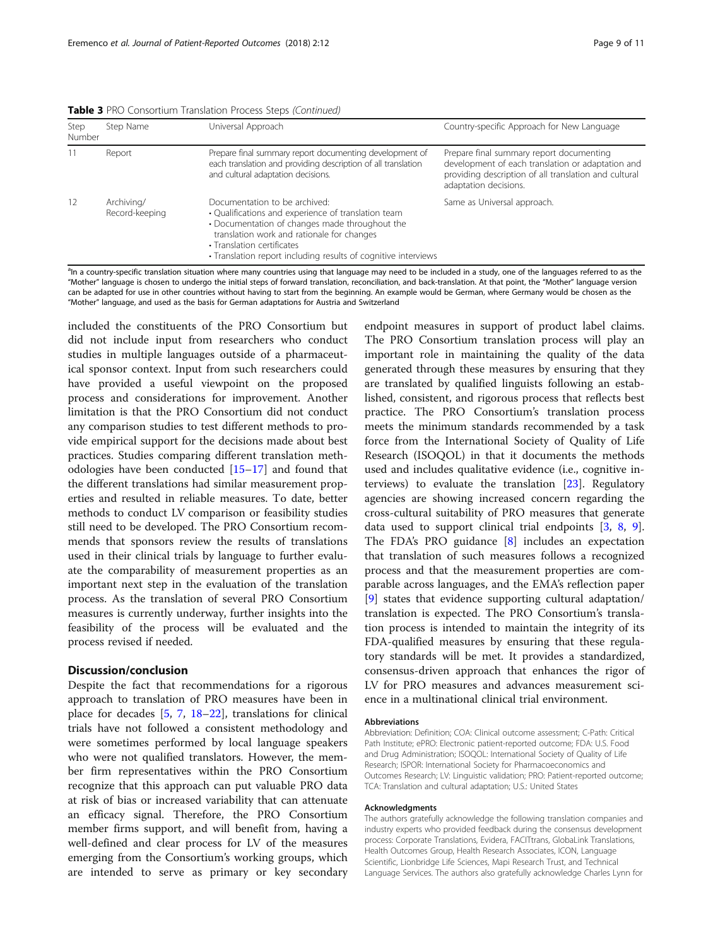| Step<br>Number | Step Name                    | Universal Approach                                                                                                                                                                                                                                                                   | Country-specific Approach for New Language                                                                                                                                      |
|----------------|------------------------------|--------------------------------------------------------------------------------------------------------------------------------------------------------------------------------------------------------------------------------------------------------------------------------------|---------------------------------------------------------------------------------------------------------------------------------------------------------------------------------|
|                | Report                       | Prepare final summary report documenting development of<br>each translation and providing description of all translation<br>and cultural adaptation decisions.                                                                                                                       | Prepare final summary report documenting<br>development of each translation or adaptation and<br>providing description of all translation and cultural<br>adaptation decisions. |
| 12             | Archiving/<br>Record-keeping | Documentation to be archived:<br>• Qualifications and experience of translation team<br>• Documentation of changes made throughout the<br>translation work and rationale for changes<br>• Translation certificates<br>• Translation report including results of cognitive interviews | Same as Universal approach.                                                                                                                                                     |

Table 3 PRO Consortium Translation Process Steps (Continued)

<sup>a</sup>ln a country-specific translation situation where many countries using that language may need to be included in a study, one of the languages referred to as the "Mother" language is chosen to undergo the initial steps of forward translation, reconciliation, and back-translation. At that point, the "Mother" language version can be adapted for use in other countries without having to start from the beginning. An example would be German, where Germany would be chosen as the "Mother" language, and used as the basis for German adaptations for Austria and Switzerland

included the constituents of the PRO Consortium but did not include input from researchers who conduct studies in multiple languages outside of a pharmaceutical sponsor context. Input from such researchers could have provided a useful viewpoint on the proposed process and considerations for improvement. Another limitation is that the PRO Consortium did not conduct any comparison studies to test different methods to provide empirical support for the decisions made about best practices. Studies comparing different translation methodologies have been conducted  $[15-17]$  $[15-17]$  $[15-17]$  $[15-17]$  $[15-17]$  and found that the different translations had similar measurement properties and resulted in reliable measures. To date, better methods to conduct LV comparison or feasibility studies still need to be developed. The PRO Consortium recommends that sponsors review the results of translations used in their clinical trials by language to further evaluate the comparability of measurement properties as an important next step in the evaluation of the translation process. As the translation of several PRO Consortium measures is currently underway, further insights into the feasibility of the process will be evaluated and the process revised if needed.

### Discussion/conclusion

Despite the fact that recommendations for a rigorous approach to translation of PRO measures have been in place for decades [[5,](#page-9-0) [7,](#page-9-0) [18](#page-10-0)–[22\]](#page-10-0), translations for clinical trials have not followed a consistent methodology and were sometimes performed by local language speakers who were not qualified translators. However, the member firm representatives within the PRO Consortium recognize that this approach can put valuable PRO data at risk of bias or increased variability that can attenuate an efficacy signal. Therefore, the PRO Consortium member firms support, and will benefit from, having a well-defined and clear process for LV of the measures emerging from the Consortium's working groups, which are intended to serve as primary or key secondary

endpoint measures in support of product label claims. The PRO Consortium translation process will play an important role in maintaining the quality of the data generated through these measures by ensuring that they are translated by qualified linguists following an established, consistent, and rigorous process that reflects best practice. The PRO Consortium's translation process meets the minimum standards recommended by a task force from the International Society of Quality of Life Research (ISOQOL) in that it documents the methods used and includes qualitative evidence (i.e., cognitive interviews) to evaluate the translation [\[23](#page-10-0)]. Regulatory agencies are showing increased concern regarding the cross-cultural suitability of PRO measures that generate data used to support clinical trial endpoints  $[3, 8, 9]$  $[3, 8, 9]$  $[3, 8, 9]$  $[3, 8, 9]$  $[3, 8, 9]$  $[3, 8, 9]$ . The FDA's PRO guidance [\[8\]](#page-9-0) includes an expectation that translation of such measures follows a recognized process and that the measurement properties are comparable across languages, and the EMA's reflection paper [[9\]](#page-9-0) states that evidence supporting cultural adaptation/ translation is expected. The PRO Consortium's translation process is intended to maintain the integrity of its FDA-qualified measures by ensuring that these regulatory standards will be met. It provides a standardized, consensus-driven approach that enhances the rigor of LV for PRO measures and advances measurement science in a multinational clinical trial environment.

#### Abbreviations

Abbreviation: Definition; COA: Clinical outcome assessment; C-Path: Critical Path Institute; ePRO: Electronic patient-reported outcome; FDA: U.S. Food and Drug Administration; ISOQOL: International Society of Quality of Life Research; ISPOR: International Society for Pharmacoeconomics and Outcomes Research; LV: Linguistic validation; PRO: Patient-reported outcome; TCA: Translation and cultural adaptation; U.S.: United States

#### Acknowledgments

The authors gratefully acknowledge the following translation companies and industry experts who provided feedback during the consensus development process: Corporate Translations, Evidera, FACITtrans, GlobaLink Translations, Health Outcomes Group, Health Research Associates, ICON, Language Scientific, Lionbridge Life Sciences, Mapi Research Trust, and Technical Language Services. The authors also gratefully acknowledge Charles Lynn for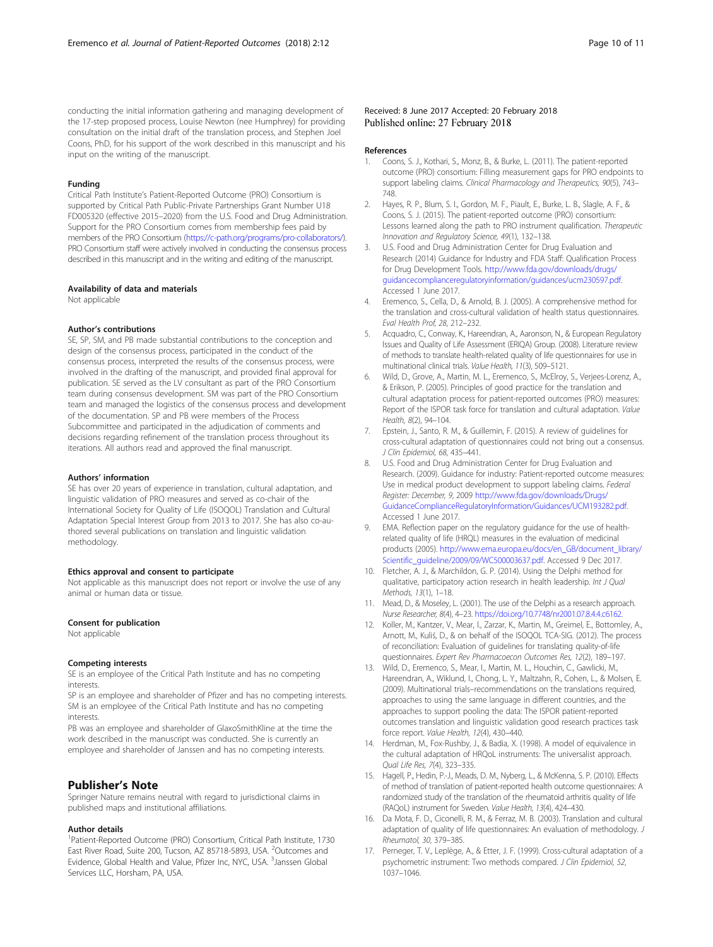<span id="page-9-0"></span>conducting the initial information gathering and managing development of the 17-step proposed process, Louise Newton (nee Humphrey) for providing consultation on the initial draft of the translation process, and Stephen Joel Coons, PhD, for his support of the work described in this manuscript and his input on the writing of the manuscript.

#### Funding

Critical Path Institute's Patient-Reported Outcome (PRO) Consortium is supported by Critical Path Public-Private Partnerships Grant Number U18 FD005320 (effective 2015–2020) from the U.S. Food and Drug Administration. Support for the PRO Consortium comes from membership fees paid by members of the PRO Consortium ([https://c-path.org/programs/pro-collaborators/\)](https://c-path.org/programs/pro-collaborators/). PRO Consortium staff were actively involved in conducting the consensus process described in this manuscript and in the writing and editing of the manuscript.

#### Availability of data and materials

Not applicable

#### Author's contributions

SE, SP, SM, and PB made substantial contributions to the conception and design of the consensus process, participated in the conduct of the consensus process, interpreted the results of the consensus process, were involved in the drafting of the manuscript, and provided final approval for publication. SE served as the LV consultant as part of the PRO Consortium team during consensus development. SM was part of the PRO Consortium team and managed the logistics of the consensus process and development of the documentation. SP and PB were members of the Process Subcommittee and participated in the adjudication of comments and decisions regarding refinement of the translation process throughout its iterations. All authors read and approved the final manuscript.

#### Authors' information

SE has over 20 years of experience in translation, cultural adaptation, and linguistic validation of PRO measures and served as co-chair of the International Society for Quality of Life (ISOQOL) Translation and Cultural Adaptation Special Interest Group from 2013 to 2017. She has also co-authored several publications on translation and linguistic validation methodology.

#### Ethics approval and consent to participate

Not applicable as this manuscript does not report or involve the use of any animal or human data or tissue.

#### Consent for publication

Not applicable

#### Competing interests

SE is an employee of the Critical Path Institute and has no competing interests.

SP is an employee and shareholder of Pfizer and has no competing interests. SM is an employee of the Critical Path Institute and has no competing interests.

PB was an employee and shareholder of GlaxoSmithKline at the time the work described in the manuscript was conducted. She is currently an employee and shareholder of Janssen and has no competing interests.

# Publisher's Note

Springer Nature remains neutral with regard to jurisdictional claims in published maps and institutional affiliations.

#### Author details

<sup>1</sup>Patient-Reported Outcome (PRO) Consortium, Critical Path Institute, 1730 East River Road, Suite 200, Tucson, AZ 85718-5893, USA. <sup>2</sup>Outcomes and Evidence, Global Health and Value, Pfizer Inc, NYC, USA. <sup>3</sup>Janssen Global Services LLC, Horsham, PA, USA.

### Received: 8 June 2017 Accepted: 20 February 2018 Published online: 27 February 2018

#### References

- 1. Coons, S. J., Kothari, S., Monz, B., & Burke, L. (2011). The patient-reported outcome (PRO) consortium: Filling measurement gaps for PRO endpoints to support labeling claims. Clinical Pharmacology and Therapeutics, 90(5), 743-748.
- 2. Hayes, R. P., Blum, S. I., Gordon, M. F., Piault, E., Burke, L. B., Slagle, A. F., & Coons, S. J. (2015). The patient-reported outcome (PRO) consortium: Lessons learned along the path to PRO instrument qualification. Therapeutic Innovation and Regulatory Science, 49(1), 132–138.
- 3. U.S. Food and Drug Administration Center for Drug Evaluation and Research (2014) Guidance for Industry and FDA Staff: Qualification Process for Drug Development Tools. [http://www.fda.gov/downloads/drugs/](http://www.fda.gov/downloads/drugs/guidancecomplianceregulatoryinformation/guidances/ucm230597.pdf) [guidancecomplianceregulatoryinformation/guidances/ucm230597.pdf.](http://www.fda.gov/downloads/drugs/guidancecomplianceregulatoryinformation/guidances/ucm230597.pdf) Accessed 1 June 2017.
- 4. Eremenco, S., Cella, D., & Arnold, B. J. (2005). A comprehensive method for the translation and cross-cultural validation of health status questionnaires. Eval Health Prof, 28, 212–232.
- Acquadro, C., Conway, K., Hareendran, A., Aaronson, N., & European Regulatory Issues and Quality of Life Assessment (ERIQA) Group. (2008). Literature review of methods to translate health-related quality of life questionnaires for use in multinational clinical trials. Value Health, 11(3), 509–5121.
- 6. Wild, D., Grove, A., Martin, M. L., Eremenco, S., McElroy, S., Verjees-Lorenz, A., & Erikson, P. (2005). Principles of good practice for the translation and cultural adaptation process for patient-reported outcomes (PRO) measures: Report of the ISPOR task force for translation and cultural adaptation. Value Health, 8(2), 94–104.
- 7. Epstein, J., Santo, R. M., & Guillemin, F. (2015). A review of guidelines for cross-cultural adaptation of questionnaires could not bring out a consensus. J Clin Epidemiol, 68, 435–441.
- 8. U.S. Food and Drug Administration Center for Drug Evaluation and Research. (2009). Guidance for industry: Patient-reported outcome measures: Use in medical product development to support labeling claims. Federal Register: December, 9, 2009 [http://www.fda.gov/downloads/Drugs/](http://www.fda.gov/downloads/Drugs/GuidanceComplianceRegulatoryInformation/Guidances/UCM193282.pdf) [GuidanceComplianceRegulatoryInformation/Guidances/UCM193282.pdf.](http://www.fda.gov/downloads/Drugs/GuidanceComplianceRegulatoryInformation/Guidances/UCM193282.pdf) Accessed 1 June 2017.
- 9. EMA. Reflection paper on the regulatory guidance for the use of healthrelated quality of life (HRQL) measures in the evaluation of medicinal products (2005). [http://www.ema.europa.eu/docs/en\\_GB/document\\_library/](http://www.ema.europa.eu/docs/en_GB/document_library/Scientific_guideline/2009/09/WC500003637.pdf) [Scientific\\_guideline/2009/09/WC500003637.pdf.](http://www.ema.europa.eu/docs/en_GB/document_library/Scientific_guideline/2009/09/WC500003637.pdf) Accessed 9 Dec 2017.
- 10. Fletcher, A. J., & Marchildon, G. P. (2014). Using the Delphi method for qualitative, participatory action research in health leadership. Int J Qual Methods, 13(1), 1–18.
- 11. Mead, D., & Moseley, L. (2001). The use of the Delphi as a research approach. Nurse Researcher, 8(4), 4–23. <https://doi.org/10.7748/nr2001.07.8.4.4.c6162>.
- 12. Koller, M., Kantzer, V., Mear, I., Zarzar, K., Martin, M., Greimel, E., Bottomley, A., Arnott, M., Kuliś, D., & on behalf of the ISOQOL TCA-SIG. (2012). The process of reconciliation: Evaluation of guidelines for translating quality-of-life questionnaires. Expert Rev Pharmacoecon Outcomes Res, 12(2), 189–197.
- 13. Wild, D., Eremenco, S., Mear, I., Martin, M. L., Houchin, C., Gawlicki, M., Hareendran, A., Wiklund, I., Chong, L. Y., Maltzahn, R., Cohen, L., & Molsen, E. (2009). Multinational trials–recommendations on the translations required, approaches to using the same language in different countries, and the approaches to support pooling the data: The ISPOR patient-reported outcomes translation and linguistic validation good research practices task force report. Value Health, 12(4), 430–440.
- 14. Herdman, M., Fox-Rushby, J., & Badia, X. (1998). A model of equivalence in the cultural adaptation of HRQoL instruments: The universalist approach. Qual Life Res, 7(4), 323–335.
- 15. Hagell, P., Hedin, P.-J., Meads, D. M., Nyberg, L., & McKenna, S. P. (2010). Effects of method of translation of patient-reported health outcome questionnaires: A randomized study of the translation of the rheumatoid arthritis quality of life (RAQoL) instrument for Sweden. Value Health, 13(4), 424–430.
- 16. Da Mota, F. D., Ciconelli, R. M., & Ferraz, M. B. (2003). Translation and cultural adaptation of quality of life questionnaires: An evaluation of methodology. J Rheumatol, 30, 379–385.
- 17. Perneger, T. V., Leplège, A., & Etter, J. F. (1999). Cross-cultural adaptation of a psychometric instrument: Two methods compared. J Clin Epidemiol, 52, 1037–1046.